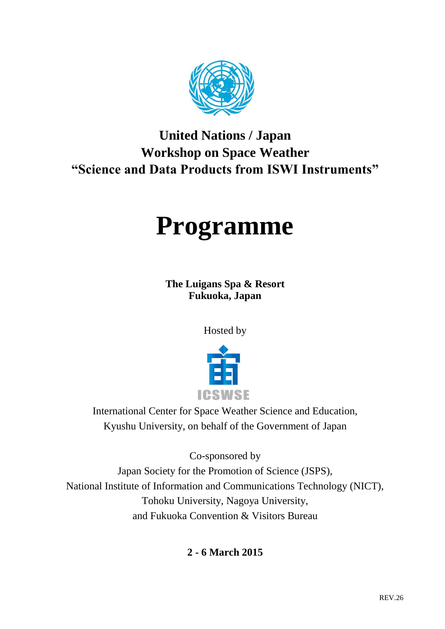

## **United Nations / Japan Workshop on Space Weather "Science and Data Products from ISWI Instruments"**

# **Programme**

**The Luigans Spa & Resort Fukuoka, Japan**

Hosted by



International Center for Space Weather Science and Education, Kyushu University, on behalf of the Government of Japan

Co-sponsored by

Japan Society for the Promotion of Science (JSPS), National Institute of Information and Communications Technology (NICT), Tohoku University, Nagoya University, and Fukuoka Convention & Visitors Bureau

**2 - 6 March 2015**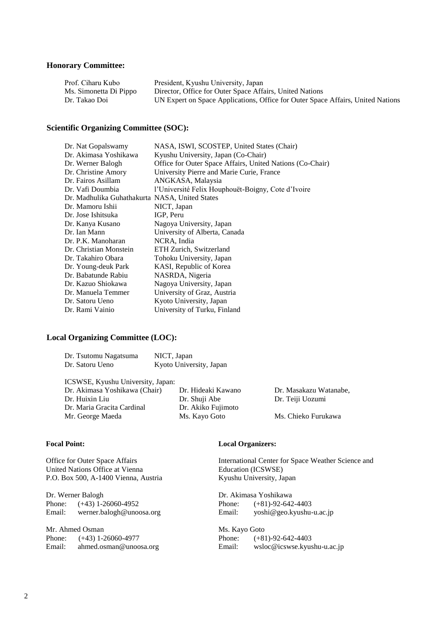#### **Honorary Committee:**

| Prof. Ciharu Kubo      | President, Kyushu University, Japan                                             |
|------------------------|---------------------------------------------------------------------------------|
| Ms. Simonetta Di Pippo | Director, Office for Outer Space Affairs, United Nations                        |
| Dr. Takao Doi          | UN Expert on Space Applications, Office for Outer Space Affairs, United Nations |

#### **Scientific Organizing Committee (SOC):**

| Dr. Nat Gopalswamy                             | NASA, ISWI, SCOSTEP, United States (Chair)                |
|------------------------------------------------|-----------------------------------------------------------|
| Dr. Akimasa Yoshikawa                          | Kyushu University, Japan (Co-Chair)                       |
| Dr. Werner Balogh                              | Office for Outer Space Affairs, United Nations (Co-Chair) |
| Dr. Christine Amory                            | University Pierre and Marie Curie, France                 |
| Dr. Fairos Asillam                             | ANGKASA, Malaysia                                         |
| Dr. Vafi Doumbia                               | l'Université Felix Houphouët-Boigny, Cote d'Ivoire        |
| Dr. Madhulika Guhathakurta NASA, United States |                                                           |
| Dr. Mamoru Ishii                               | NICT, Japan                                               |
| Dr. Jose Ishitsuka                             | IGP, Peru                                                 |
| Dr. Kanya Kusano                               | Nagoya University, Japan                                  |
| Dr. Ian Mann                                   | University of Alberta, Canada                             |
| Dr. P.K. Manoharan                             | NCRA, India                                               |
| Dr. Christian Monstein                         | ETH Zurich, Switzerland                                   |
| Dr. Takahiro Obara                             | Tohoku University, Japan                                  |
| Dr. Young-deuk Park                            | KASI, Republic of Korea                                   |
| Dr. Babatunde Rabiu                            | NASRDA, Nigeria                                           |
| Dr. Kazuo Shiokawa                             | Nagoya University, Japan                                  |
| Dr. Manuela Temmer                             | University of Graz, Austria                               |
| Dr. Satoru Ueno                                | Kyoto University, Japan                                   |
| Dr. Rami Vainio                                | University of Turku, Finland                              |

#### **Local Organizing Committee (LOC):**

| Dr. Tsutomu Nagatsuma | NICT, Japan             |
|-----------------------|-------------------------|
| Dr. Satoru Ueno       | Kyoto University, Japan |

| ICSWSE, Kyushu University, Japan: |                    |                        |
|-----------------------------------|--------------------|------------------------|
| Dr. Akimasa Yoshikawa (Chair)     | Dr. Hideaki Kawano | Dr. Masakazu Watanabe. |
| Dr. Huixin Liu                    | Dr. Shuji Abe      | Dr. Teiji Uozumi       |
| Dr. Maria Gracita Cardinal        | Dr. Akiko Fujimoto |                        |
| Mr. George Maeda                  | Ms. Kayo Goto      | Ms. Chieko Furukawa    |

#### **Focal Point:**

Office for Outer Space Affairs United Nations Office at Vienna P.O. Box 500, A-1400 Vienna, Austria

Dr. Werner Balogh<br>Phone: (+43) 1-2 Phone: (+43) 1-26060-4952<br>Email: werner.balogh@unoo werner.balogh@unoosa.org

Mr. Ahmed Osman Phone: (+43) 1-26060-4977 Email: ahmed.osman@unoosa.org

#### **Local Organizers:**

International Center for Space Weather Science and Education (ICSWSE) Kyushu University, Japan

Dr. Akimasa Yoshikawa Phone:  $(+81)-92-642-4403$ <br>Email:  $voshi@geo.kyushu$ yoshi@geo.kyushu-u.ac.jp

Ms. Kayo Goto<br>Phone: (+8)  $(+81)-92-642-4403$ Email: wsloc@icswse.kyushu-u.ac.jp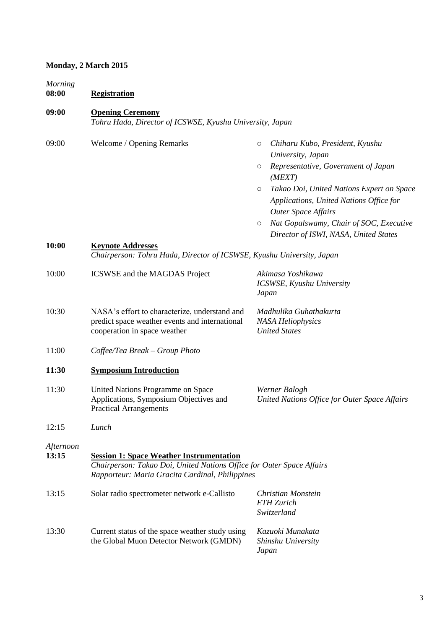#### **Monday, 2 March 2015**

*Morning*

**08:00 Registration**

#### **09:00 Opening Ceremony**

*Tohru Hada, Director of ICSWSE, Kyushu University, Japan*

| 09:00              | Welcome / Opening Remarks                                                                                                       | Chiharu Kubo, President, Kyushu<br>O<br>University, Japan                                                                     |
|--------------------|---------------------------------------------------------------------------------------------------------------------------------|-------------------------------------------------------------------------------------------------------------------------------|
|                    |                                                                                                                                 | Representative, Government of Japan<br>$\circ$<br>(MEXT)                                                                      |
|                    |                                                                                                                                 | Takao Doi, United Nations Expert on Space<br>$\circ$<br>Applications, United Nations Office for<br><b>Outer Space Affairs</b> |
|                    |                                                                                                                                 | Nat Gopalswamy, Chair of SOC, Executive<br>$\circ$<br>Director of ISWI, NASA, United States                                   |
| 10:00              | <b>Keynote Addresses</b><br>Chairperson: Tohru Hada, Director of ICSWSE, Kyushu University, Japan                               |                                                                                                                               |
| 10:00              | <b>ICSWSE</b> and the MAGDAS Project                                                                                            | Akimasa Yoshikawa<br>ICSWSE, Kyushu University<br>Japan                                                                       |
| 10:30              | NASA's effort to characterize, understand and<br>predict space weather events and international<br>cooperation in space weather | Madhulika Guhathakurta<br><b>NASA Heliophysics</b><br><b>United States</b>                                                    |
| 11:00              | Coffee/Tea Break - Group Photo                                                                                                  |                                                                                                                               |
| 11:30              | <b>Symposium Introduction</b>                                                                                                   |                                                                                                                               |
| 11:30              | United Nations Programme on Space<br>Applications, Symposium Objectives and<br><b>Practical Arrangements</b>                    | Werner Balogh<br>United Nations Office for Outer Space Affairs                                                                |
| 12:15              | Lunch                                                                                                                           |                                                                                                                               |
| Afternoon<br>13:15 | <b>Session 1: Space Weather Instrumentation</b>                                                                                 |                                                                                                                               |
|                    | Chairperson: Takao Doi, United Nations Office for Outer Space Affairs<br>Rapporteur: Maria Gracita Cardinal, Philippines        |                                                                                                                               |
| 13:15              | Solar radio spectrometer network e-Callisto                                                                                     | Christian Monstein<br><b>ETH Zurich</b><br>Switzerland                                                                        |
| 13:30              | Current status of the space weather study using<br>the Global Muon Detector Network (GMDN)                                      | Kazuoki Munakata<br>Shinshu University<br>Japan                                                                               |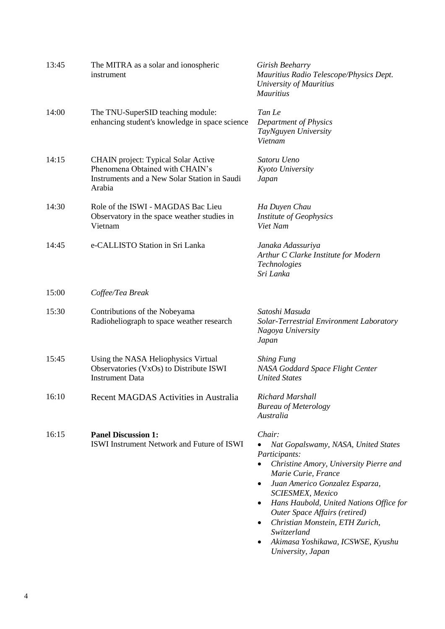| 13:45 | The MITRA as a solar and ionospheric<br>instrument                                                                                      | Girish Beeharry<br>Mauritius Radio Telescope/Physics Dept.<br>University of Mauritius<br><b>Mauritius</b>                                                                                                                                                                                                                                                                                                   |
|-------|-----------------------------------------------------------------------------------------------------------------------------------------|-------------------------------------------------------------------------------------------------------------------------------------------------------------------------------------------------------------------------------------------------------------------------------------------------------------------------------------------------------------------------------------------------------------|
| 14:00 | The TNU-SuperSID teaching module:<br>enhancing student's knowledge in space science                                                     | Tan Le<br>Department of Physics<br>TayNguyen University<br>Vietnam                                                                                                                                                                                                                                                                                                                                          |
| 14:15 | <b>CHAIN</b> project: Typical Solar Active<br>Phenomena Obtained with CHAIN's<br>Instruments and a New Solar Station in Saudi<br>Arabia | Satoru Ueno<br>Kyoto University<br>Japan                                                                                                                                                                                                                                                                                                                                                                    |
| 14:30 | Role of the ISWI - MAGDAS Bac Lieu<br>Observatory in the space weather studies in<br>Vietnam                                            | Ha Duyen Chau<br><b>Institute of Geophysics</b><br>Viet Nam                                                                                                                                                                                                                                                                                                                                                 |
| 14:45 | e-CALLISTO Station in Sri Lanka                                                                                                         | Janaka Adassuriya<br>Arthur C Clarke Institute for Modern<br>Technologies<br>Sri Lanka                                                                                                                                                                                                                                                                                                                      |
| 15:00 | Coffee/Tea Break                                                                                                                        |                                                                                                                                                                                                                                                                                                                                                                                                             |
| 15:30 | Contributions of the Nobeyama<br>Radioheliograph to space weather research                                                              | Satoshi Masuda<br>Solar-Terrestrial Environment Laboratory<br>Nagoya University<br>Japan                                                                                                                                                                                                                                                                                                                    |
| 15:45 | Using the NASA Heliophysics Virtual<br>Observatories (VxOs) to Distribute ISWI<br><b>Instrument Data</b>                                | <b>Shing Fung</b><br>NASA Goddard Space Flight Center<br><b>United States</b>                                                                                                                                                                                                                                                                                                                               |
| 16:10 | Recent MAGDAS Activities in Australia                                                                                                   | <b>Richard Marshall</b><br><b>Bureau of Meterology</b><br>Australia                                                                                                                                                                                                                                                                                                                                         |
| 16:15 | <b>Panel Discussion 1:</b><br>ISWI Instrument Network and Future of ISWI                                                                | Chair:<br>Nat Gopalswamy, NASA, United States<br>Participants:<br>Christine Amory, University Pierre and<br>$\bullet$<br>Marie Curie, France<br>Juan Americo Gonzalez Esparza,<br><b>SCIESMEX, Mexico</b><br>Hans Haubold, United Nations Office for<br>٠<br>Outer Space Affairs (retired)<br>Christian Monstein, ETH Zurich,<br>٠<br>Switzerland<br>Akimasa Yoshikawa, ICSWSE, Kyushu<br>University, Japan |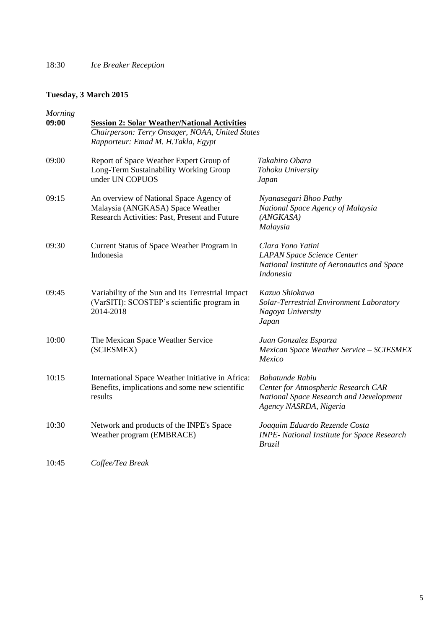#### **Tuesday, 3 March 2015**

| <b>Morning</b><br>09:00 | <b>Session 2: Solar Weather/National Activities</b><br>Chairperson: Terry Onsager, NOAA, United States<br>Rapporteur: Emad M. H.Takla, Egypt |                                                                                                                             |
|-------------------------|----------------------------------------------------------------------------------------------------------------------------------------------|-----------------------------------------------------------------------------------------------------------------------------|
| 09:00                   | Report of Space Weather Expert Group of<br>Long-Term Sustainability Working Group<br>under UN COPUOS                                         | Takahiro Obara<br>Tohoku University<br>Japan                                                                                |
| 09:15                   | An overview of National Space Agency of<br>Malaysia (ANGKASA) Space Weather<br>Research Activities: Past, Present and Future                 | Nyanasegari Bhoo Pathy<br>National Space Agency of Malaysia<br>(ANGKASA)<br>Malaysia                                        |
| 09:30                   | Current Status of Space Weather Program in<br>Indonesia                                                                                      | Clara Yono Yatini<br><b>LAPAN Space Science Center</b><br>National Institute of Aeronautics and Space<br>Indonesia          |
| 09:45                   | Variability of the Sun and Its Terrestrial Impact<br>(VarSITI): SCOSTEP's scientific program in<br>2014-2018                                 | Kazuo Shiokawa<br>Solar-Terrestrial Environment Laboratory<br>Nagoya University<br>Japan                                    |
| 10:00                   | The Mexican Space Weather Service<br>(SCIESMEX)                                                                                              | Juan Gonzalez Esparza<br>Mexican Space Weather Service - SCIESMEX<br>Mexico                                                 |
| 10:15                   | International Space Weather Initiative in Africa:<br>Benefits, implications and some new scientific<br>results                               | Babatunde Rabiu<br>Center for Atmospheric Research CAR<br>National Space Research and Development<br>Agency NASRDA, Nigeria |
| 10:30                   | Network and products of the INPE's Space<br>Weather program (EMBRACE)                                                                        | Joaquim Eduardo Rezende Costa<br><b>INPE- National Institute for Space Research</b><br><b>Brazil</b>                        |
| 10:45                   | Coffee/Tea Break                                                                                                                             |                                                                                                                             |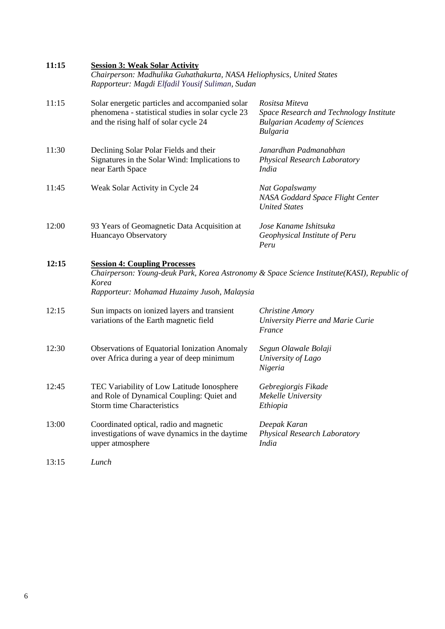| 11:15 | <b>Session 3: Weak Solar Activity</b><br>Chairperson: Madhulika Guhathakurta, NASA Heliophysics, United States<br>Rapporteur: Magdi Elfadil Yousif Suliman, Sudan                          |                                                                                                                      |
|-------|--------------------------------------------------------------------------------------------------------------------------------------------------------------------------------------------|----------------------------------------------------------------------------------------------------------------------|
| 11:15 | Solar energetic particles and accompanied solar<br>phenomena - statistical studies in solar cycle 23<br>and the rising half of solar cycle 24                                              | Rositsa Miteva<br>Space Research and Technology Institute<br><b>Bulgarian Academy of Sciences</b><br><b>Bulgaria</b> |
| 11:30 | Declining Solar Polar Fields and their<br>Signatures in the Solar Wind: Implications to<br>near Earth Space                                                                                | Janardhan Padmanabhan<br>Physical Research Laboratory<br><i>India</i>                                                |
| 11:45 | Weak Solar Activity in Cycle 24                                                                                                                                                            | Nat Gopalswamy<br>NASA Goddard Space Flight Center<br><b>United States</b>                                           |
| 12:00 | 93 Years of Geomagnetic Data Acquisition at<br>Huancayo Observatory                                                                                                                        | Jose Kaname Ishitsuka<br>Geophysical Institute of Peru<br>Peru                                                       |
| 12:15 | <b>Session 4: Coupling Processes</b><br>Chairperson: Young-deuk Park, Korea Astronomy & Space Science Institute(KASI), Republic of<br>Korea<br>Rapporteur: Mohamad Huzaimy Jusoh, Malaysia |                                                                                                                      |
| 12:15 | Sun impacts on ionized layers and transient<br>variations of the Earth magnetic field                                                                                                      | <b>Christine Amory</b><br>University Pierre and Marie Curie<br>France                                                |
| 12:30 | <b>Observations of Equatorial Ionization Anomaly</b><br>over Africa during a year of deep minimum                                                                                          | Segun Olawale Bolaji<br>University of Lago<br>Nigeria                                                                |
| 12:45 | TEC Variability of Low Latitude Ionosphere<br>and Role of Dynamical Coupling: Quiet and<br><b>Storm time Characteristics</b>                                                               | Gebregiorgis Fikade<br>Mekelle University<br>Ethiopia                                                                |
| 13:00 | Coordinated optical, radio and magnetic<br>investigations of wave dynamics in the daytime<br>upper atmosphere                                                                              | Deepak Karan<br>Physical Research Laboratory<br><b>India</b>                                                         |
| 13:15 | Lunch                                                                                                                                                                                      |                                                                                                                      |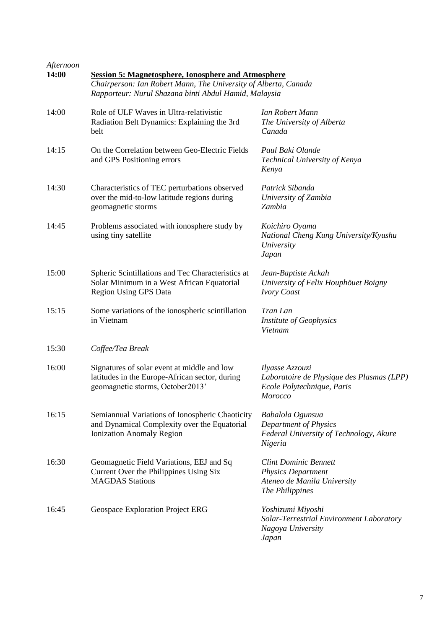| Afternoon<br>14:00 | <b>Session 5: Magnetosphere, Ionosphere and Atmosphere</b><br>Chairperson: Ian Robert Mann, The University of Alberta, Canada<br>Rapporteur: Nurul Shazana binti Abdul Hamid, Malaysia |                                                                                                             |  |
|--------------------|----------------------------------------------------------------------------------------------------------------------------------------------------------------------------------------|-------------------------------------------------------------------------------------------------------------|--|
|                    |                                                                                                                                                                                        |                                                                                                             |  |
| 14:00              | Role of ULF Waves in Ultra-relativistic<br>Radiation Belt Dynamics: Explaining the 3rd<br>belt                                                                                         | Ian Robert Mann<br>The University of Alberta<br>Canada                                                      |  |
| 14:15              | On the Correlation between Geo-Electric Fields<br>and GPS Positioning errors                                                                                                           | Paul Baki Olande<br>Technical University of Kenya<br>Kenya                                                  |  |
| 14:30              | Characteristics of TEC perturbations observed<br>over the mid-to-low latitude regions during<br>geomagnetic storms                                                                     | Patrick Sibanda<br>University of Zambia<br>Zambia                                                           |  |
| 14:45              | Problems associated with ionosphere study by<br>using tiny satellite                                                                                                                   | Koichiro Oyama<br>National Cheng Kung University/Kyushu<br>University<br>Japan                              |  |
| 15:00              | Spheric Scintillations and Tec Characteristics at<br>Solar Minimum in a West African Equatorial<br><b>Region Using GPS Data</b>                                                        | Jean-Baptiste Ackah<br>University of Felix Houphöuet Boigny<br><b>Ivory Coast</b>                           |  |
| 15:15              | Some variations of the ionospheric scintillation<br>in Vietnam                                                                                                                         | Tran Lan<br><b>Institute of Geophysics</b><br>Vietnam                                                       |  |
| 15:30              | Coffee/Tea Break                                                                                                                                                                       |                                                                                                             |  |
| 16:00              | Signatures of solar event at middle and low<br>latitudes in the Europe-African sector, during<br>geomagnetic storms, October2013'                                                      | Ilyasse Azzouzi<br>Laboratoire de Physique des Plasmas (LPP)<br>Ecole Polytechnique, Paris<br>Morocco       |  |
| 16:15              | Semiannual Variations of Ionospheric Chaoticity<br>and Dynamical Complexity over the Equatorial<br><b>Ionization Anomaly Region</b>                                                    | Babalola Ogunsua<br>Department of Physics<br>Federal University of Technology, Akure<br>Nigeria             |  |
| 16:30              | Geomagnetic Field Variations, EEJ and Sq<br>Current Over the Philippines Using Six<br><b>MAGDAS</b> Stations                                                                           | <b>Clint Dominic Bennett</b><br><b>Physics Department</b><br>Ateneo de Manila University<br>The Philippines |  |
| 16:45              | Geospace Exploration Project ERG                                                                                                                                                       | Yoshizumi Miyoshi<br>Solar-Terrestrial Environment Laboratory<br>Nagoya University<br>Japan                 |  |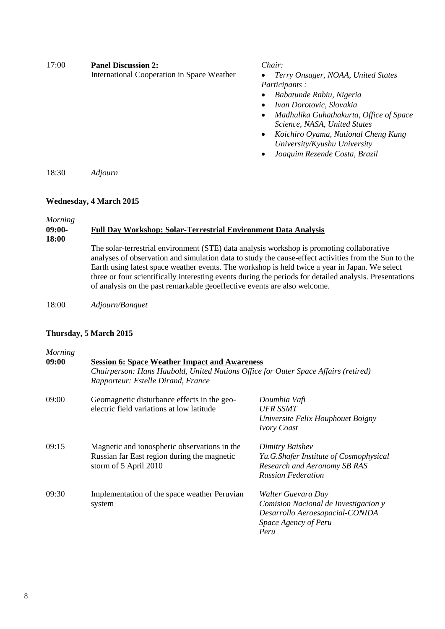| 17:00 | <b>Panel Discussion 2:</b><br>International Cooperation in Space Weather | Chair:<br>Terry Onsager, NOAA, United States<br>$\bullet$<br><i>Participants:</i><br>Babatunde Rabiu, Nigeria<br>$\bullet$<br>Ivan Dorotovic, Slovakia<br>$\bullet$<br>Madhulika Guhathakurta, Office of Space<br>$\bullet$<br>Science, NASA, United States<br>Koichiro Oyama, National Cheng Kung<br>$\bullet$<br>University/Kyushu University<br>Joaquim Rezende Costa, Brazil<br>$\bullet$ |
|-------|--------------------------------------------------------------------------|-----------------------------------------------------------------------------------------------------------------------------------------------------------------------------------------------------------------------------------------------------------------------------------------------------------------------------------------------------------------------------------------------|
| 18:30 | Adiourn                                                                  |                                                                                                                                                                                                                                                                                                                                                                                               |

#### **Wednesday, 4 March 2015**

*Morning*

#### **09:00- Full Day Workshop: Solar-Terrestrial Environment Data Analysis**

**18:00**

The solar-terrestrial environment (STE) data analysis workshop is promoting collaborative analyses of observation and simulation data to study the cause-effect activities from the Sun to the Earth using latest space weather events. The workshop is held twice a year in Japan. We select three or four scientifically interesting events during the periods for detailed analysis. Presentations of analysis on the past remarkable geoeffective events are also welcome.

18:00 *Adjourn/Banquet*

#### **Thursday, 5 March 2015**

| Morning |                                                                                    |                                        |  |
|---------|------------------------------------------------------------------------------------|----------------------------------------|--|
| 09:00   | <b>Session 6: Space Weather Impact and Awareness</b>                               |                                        |  |
|         | Chairperson: Hans Haubold, United Nations Office for Outer Space Affairs (retired) |                                        |  |
|         | Rapporteur: Estelle Dirand, France                                                 |                                        |  |
| 09:00   | Geomagnetic disturbance effects in the geo-                                        | Doumbia Vafi                           |  |
|         | electric field variations at low latitude                                          | <b>UFR SSMT</b>                        |  |
|         |                                                                                    | Universite Felix Houphouet Boigny      |  |
|         |                                                                                    | <b>Ivory Coast</b>                     |  |
| 09:15   | Magnetic and ionospheric observations in the                                       | Dimitry Baishev                        |  |
|         | Russian far East region during the magnetic                                        | Yu.G.Shafer Institute of Cosmophysical |  |
|         | storm of 5 April 2010                                                              | Research and Aeronomy SB RAS           |  |
|         |                                                                                    | <b>Russian Federation</b>              |  |
| 09:30   | Implementation of the space weather Peruvian                                       | Walter Guevara Day                     |  |
|         | system                                                                             | Comision Nacional de Investigacion y   |  |
|         |                                                                                    | Desarrollo Aeroesapacial-CONIDA        |  |
|         |                                                                                    | Space Agency of Peru                   |  |
|         |                                                                                    | Peru                                   |  |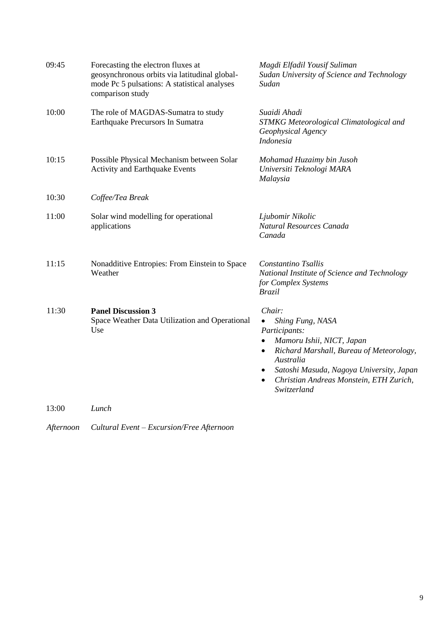| 09:45 | Forecasting the electron fluxes at<br>geosynchronous orbits via latitudinal global-<br>mode Pc 5 pulsations: A statistical analyses<br>comparison study | Magdi Elfadil Yousif Suliman<br>Sudan University of Science and Technology<br>Sudan                                                                                                                                                                               |
|-------|---------------------------------------------------------------------------------------------------------------------------------------------------------|-------------------------------------------------------------------------------------------------------------------------------------------------------------------------------------------------------------------------------------------------------------------|
| 10:00 | The role of MAGDAS-Sumatra to study<br>Earthquake Precursors In Sumatra                                                                                 | Suaidi Ahadi<br>STMKG Meteorological Climatological and<br>Geophysical Agency<br><b>Indonesia</b>                                                                                                                                                                 |
| 10:15 | Possible Physical Mechanism between Solar<br><b>Activity and Earthquake Events</b>                                                                      | Mohamad Huzaimy bin Jusoh<br>Universiti Teknologi MARA<br>Malaysia                                                                                                                                                                                                |
| 10:30 | Coffee/Tea Break                                                                                                                                        |                                                                                                                                                                                                                                                                   |
| 11:00 | Solar wind modelling for operational<br>applications                                                                                                    | Ljubomir Nikolic<br>Natural Resources Canada<br>Canada                                                                                                                                                                                                            |
| 11:15 | Nonadditive Entropies: From Einstein to Space<br>Weather                                                                                                | Constantino Tsallis<br>National Institute of Science and Technology<br>for Complex Systems<br><b>Brazil</b>                                                                                                                                                       |
| 11:30 | <b>Panel Discussion 3</b><br>Space Weather Data Utilization and Operational<br>Use                                                                      | Chair:<br>Shing Fung, NASA<br>Participants:<br>Mamoru Ishii, NICT, Japan<br>$\bullet$<br>Richard Marshall, Bureau of Meteorology,<br>$\bullet$<br>Australia<br>Satoshi Masuda, Nagoya University, Japan<br>Christian Andreas Monstein, ETH Zurich,<br>Switzerland |
| 13:00 | Lunch                                                                                                                                                   |                                                                                                                                                                                                                                                                   |

*Afternoon Cultural Event – Excursion/Free Afternoon*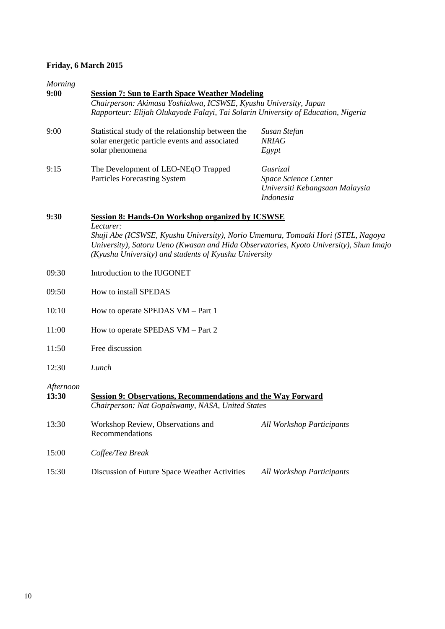#### **Friday, 6 March 2015**

| Morning<br>9:00    | <b>Session 7: Sun to Earth Space Weather Modeling</b>                                                                                                                                                                                            |                                                                                        |  |  |  |  |  |
|--------------------|--------------------------------------------------------------------------------------------------------------------------------------------------------------------------------------------------------------------------------------------------|----------------------------------------------------------------------------------------|--|--|--|--|--|
|                    | Chairperson: Akimasa Yoshiakwa, ICSWSE, Kyushu University, Japan<br>Rapporteur: Elijah Olukayode Falayi, Tai Solarin University of Education, Nigeria                                                                                            |                                                                                        |  |  |  |  |  |
| 9:00               | Statistical study of the relationship between the<br>solar energetic particle events and associated<br>solar phenomena                                                                                                                           | Susan Stefan<br><b>NRIAG</b><br>Egypt                                                  |  |  |  |  |  |
| 9:15               | The Development of LEO-NEqO Trapped<br><b>Particles Forecasting System</b>                                                                                                                                                                       | Gusrizal<br>Space Science Center<br>Universiti Kebangsaan Malaysia<br><b>Indonesia</b> |  |  |  |  |  |
| 9:30               | <b>Session 8: Hands-On Workshop organized by ICSWSE</b>                                                                                                                                                                                          |                                                                                        |  |  |  |  |  |
|                    | Lecturer:<br>Shuji Abe (ICSWSE, Kyushu University), Norio Umemura, Tomoaki Hori (STEL, Nagoya<br>University), Satoru Ueno (Kwasan and Hida Observatories, Kyoto University), Shun Imajo<br>(Kyushu University) and students of Kyushu University |                                                                                        |  |  |  |  |  |
| 09:30              | Introduction to the IUGONET                                                                                                                                                                                                                      |                                                                                        |  |  |  |  |  |
| 09:50              | How to install SPEDAS                                                                                                                                                                                                                            |                                                                                        |  |  |  |  |  |
| 10:10              | How to operate SPEDAS VM – Part 1                                                                                                                                                                                                                |                                                                                        |  |  |  |  |  |
| 11:00              | How to operate SPEDAS VM – Part 2                                                                                                                                                                                                                |                                                                                        |  |  |  |  |  |
| 11:50              | Free discussion                                                                                                                                                                                                                                  |                                                                                        |  |  |  |  |  |
| 12:30              | Lunch                                                                                                                                                                                                                                            |                                                                                        |  |  |  |  |  |
| Afternoon<br>13:30 | <b>Session 9: Observations, Recommendations and the Way Forward</b><br>Chairperson: Nat Gopalswamy, NASA, United States                                                                                                                          |                                                                                        |  |  |  |  |  |
| 13:30              | Workshop Review, Observations and<br>Recommendations                                                                                                                                                                                             | <b>All Workshop Participants</b>                                                       |  |  |  |  |  |
| 15:00              | Coffee/Tea Break                                                                                                                                                                                                                                 |                                                                                        |  |  |  |  |  |
| 15:30              | Discussion of Future Space Weather Activities                                                                                                                                                                                                    | <b>All Workshop Participants</b>                                                       |  |  |  |  |  |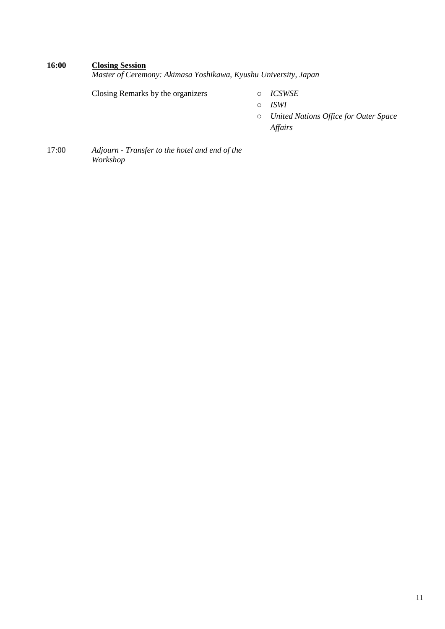#### **16:00 Closing Session**

*Master of Ceremony: Akimasa Yoshikawa, Kyushu University, Japan*

Closing Remarks by the organizers o *ICSWSE*

- o *ISWI*
- o *United Nations Office for Outer Space Affairs*
- 17:00 *Adjourn - Transfer to the hotel and end of the Workshop*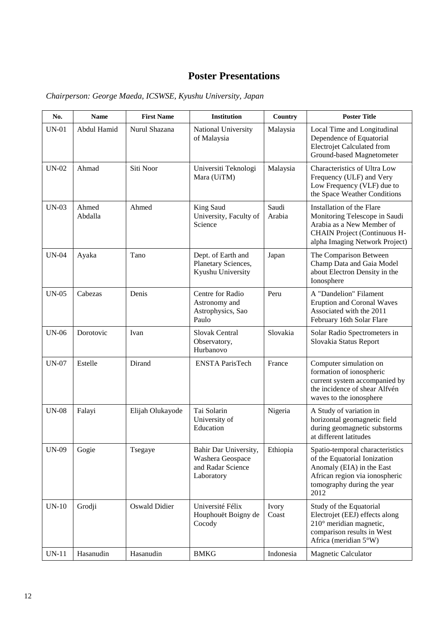## **Poster Presentations**

| No.          | <b>Name</b>      | <b>First Name</b>    | Institution                                                                  | Country         | <b>Poster Title</b>                                                                                                                                                  |
|--------------|------------------|----------------------|------------------------------------------------------------------------------|-----------------|----------------------------------------------------------------------------------------------------------------------------------------------------------------------|
| <b>UN-01</b> | Abdul Hamid      | Nurul Shazana        | National University<br>of Malaysia                                           | Malaysia        | Local Time and Longitudinal<br>Dependence of Equatorial<br><b>Electrojet Calculated from</b><br>Ground-based Magnetometer                                            |
| <b>UN-02</b> | Ahmad            | Siti Noor            | Universiti Teknologi<br>Mara (UiTM)                                          | Malaysia        | Characteristics of Ultra Low<br>Frequency (ULF) and Very<br>Low Frequency (VLF) due to<br>the Space Weather Conditions                                               |
| $UN-03$      | Ahmed<br>Abdalla | Ahmed                | King Saud<br>University, Faculty of<br>Science                               | Saudi<br>Arabia | Installation of the Flare<br>Monitoring Telescope in Saudi<br>Arabia as a New Member of<br><b>CHAIN Project (Continuous H-</b><br>alpha Imaging Network Project)     |
| <b>UN-04</b> | Ayaka            | Tano                 | Dept. of Earth and<br>Planetary Sciences,<br>Kyushu University               | Japan           | The Comparison Between<br>Champ Data and Gaia Model<br>about Electron Density in the<br>Ionosphere                                                                   |
| $UN-05$      | Cabezas          | Denis                | Centre for Radio<br>Astronomy and<br>Astrophysics, Sao<br>Paulo              | Peru            | A "Dandelion" Filament<br><b>Eruption and Coronal Waves</b><br>Associated with the 2011<br>February 16th Solar Flare                                                 |
| <b>UN-06</b> | Dorotovic        | Ivan                 | Slovak Central<br>Observatory,<br>Hurbanovo                                  | Slovakia        | Solar Radio Spectrometers in<br>Slovakia Status Report                                                                                                               |
| <b>UN-07</b> | Estelle          | Dirand               | <b>ENSTA ParisTech</b>                                                       | France          | Computer simulation on<br>formation of ionospheric<br>current system accompanied by<br>the incidence of shear Alfvén<br>waves to the ionosphere                      |
| <b>UN-08</b> | Falayi           | Elijah Olukayode     | Tai Solarin<br>University of<br>Education                                    | Nigeria         | A Study of variation in<br>horizontal geomagnetic field<br>during geomagnetic substorms<br>at different latitudes                                                    |
| UN-09        | Gogie            | Tsegaye              | Bahir Dar University,<br>Washera Geospace<br>and Radar Science<br>Laboratory | Ethiopia        | Spatio-temporal characteristics<br>of the Equatorial Ionization<br>Anomaly (EIA) in the East<br>African region via ionospheric<br>tomography during the year<br>2012 |
| $UN-10$      | Grodji           | <b>Oswald Didier</b> | Université Félix<br>Houphouët Boigny de<br>Cocody                            | Ivory<br>Coast  | Study of the Equatorial<br>Electrojet (EEJ) effects along<br>210° meridian magnetic,<br>comparison results in West<br>Africa (meridian 5°W)                          |
| $UN-11$      | Hasanudin        | Hasanudin            | <b>BMKG</b>                                                                  | Indonesia       | <b>Magnetic Calculator</b>                                                                                                                                           |

*Chairperson: George Maeda, ICSWSE, Kyushu University, Japan*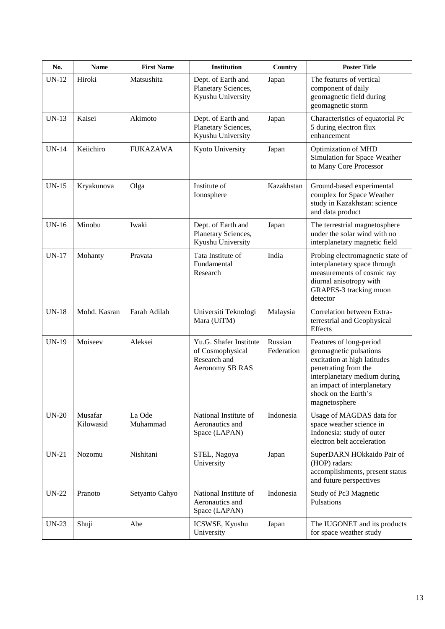| No.          | <b>Name</b>          | <b>First Name</b>  | Institution                                                                   | Country               | <b>Poster Title</b>                                                                                                                                                                                               |
|--------------|----------------------|--------------------|-------------------------------------------------------------------------------|-----------------------|-------------------------------------------------------------------------------------------------------------------------------------------------------------------------------------------------------------------|
| $UN-12$      | Hiroki               | Matsushita         | Dept. of Earth and<br>Planetary Sciences,<br>Kyushu University                | Japan                 | The features of vertical<br>component of daily<br>geomagnetic field during<br>geomagnetic storm                                                                                                                   |
| $UN-13$      | Kaisei               | Akimoto            | Dept. of Earth and<br>Planetary Sciences,<br>Kyushu University                | Japan                 | Characteristics of equatorial Pc<br>5 during electron flux<br>enhancement                                                                                                                                         |
| $UN-14$      | Keiichiro            | <b>FUKAZAWA</b>    | Kyoto University                                                              | Japan                 | <b>Optimization of MHD</b><br>Simulation for Space Weather<br>to Many Core Processor                                                                                                                              |
| $UN-15$      | Kryakunova           | Olga               | Institute of<br>Ionosphere                                                    | Kazakhstan            | Ground-based experimental<br>complex for Space Weather<br>study in Kazakhstan: science<br>and data product                                                                                                        |
| $UN-16$      | Minobu               | Iwaki              | Dept. of Earth and<br>Planetary Sciences,<br>Kyushu University                | Japan                 | The terrestrial magnetosphere<br>under the solar wind with no<br>interplanetary magnetic field                                                                                                                    |
| <b>UN-17</b> | Mohanty              | Pravata            | Tata Institute of<br>Fundamental<br>Research                                  | India                 | Probing electromagnetic state of<br>interplanetary space through<br>measurements of cosmic ray<br>diurnal anisotropy with<br>GRAPES-3 tracking muon<br>detector                                                   |
| $UN-18$      | Mohd. Kasran         | Farah Adilah       | Universiti Teknologi<br>Mara (UiTM)                                           | Malaysia              | Correlation between Extra-<br>terrestrial and Geophysical<br>Effects                                                                                                                                              |
| <b>UN-19</b> | Moiseev              | Aleksei            | Yu.G. Shafer Institute<br>of Cosmophysical<br>Research and<br>Aeronomy SB RAS | Russian<br>Federation | Features of long-period<br>geomagnetic pulsations<br>excitation at high latitudes<br>penetrating from the<br>interplanetary medium during<br>an impact of interplanetary<br>shock on the Earth's<br>magnetosphere |
| $UN-20$      | Musafar<br>Kilowasid | La Ode<br>Muhammad | National Institute of<br>Aeronautics and<br>Space (LAPAN)                     | Indonesia             | Usage of MAGDAS data for<br>space weather science in<br>Indonesia: study of outer<br>electron belt acceleration                                                                                                   |
| $UN-21$      | Nozomu               | Nishitani          | STEL, Nagoya<br>University                                                    | Japan                 | SuperDARN HOkkaido Pair of<br>(HOP) radars:<br>accomplishments, present status<br>and future perspectives                                                                                                         |
| $UN-22$      | Pranoto              | Setyanto Cahyo     | National Institute of<br>Aeronautics and<br>Space (LAPAN)                     | Indonesia             | Study of Pc3 Magnetic<br>Pulsations                                                                                                                                                                               |
| $UN-23$      | Shuji                | Abe                | ICSWSE, Kyushu<br>University                                                  | Japan                 | The IUGONET and its products<br>for space weather study                                                                                                                                                           |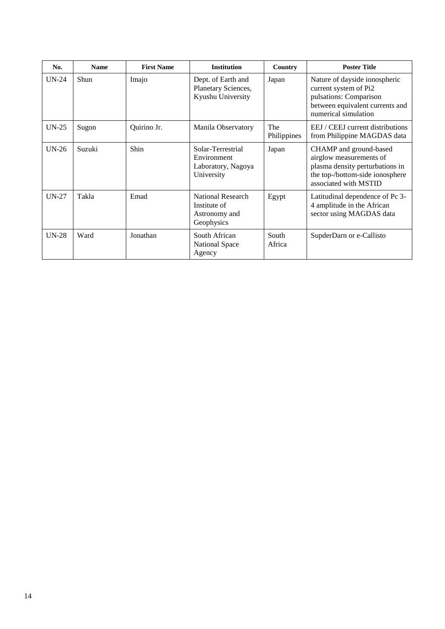| No.     | <b>Name</b> | <b>First Name</b> | <b>Institution</b>                                                   | Country            | <b>Poster Title</b>                                                                                                                              |
|---------|-------------|-------------------|----------------------------------------------------------------------|--------------------|--------------------------------------------------------------------------------------------------------------------------------------------------|
| $UN-24$ | Shun        | Imajo             | Dept. of Earth and<br>Planetary Sciences,<br>Kyushu University       | Japan              | Nature of dayside ionospheric<br>current system of Pi2<br>pulsations: Comparison<br>between equivalent currents and<br>numerical simulation      |
| $UN-25$ | Sugon       | Quirino Jr.       | Manila Observatory                                                   | The<br>Philippines | EEJ / CEEJ current distributions<br>from Philippine MAGDAS data                                                                                  |
| $UN-26$ | Suzuki      | Shin              | Solar-Terrestrial<br>Environment<br>Laboratory, Nagoya<br>University | Japan              | CHAMP and ground-based<br>airglow measurements of<br>plasma density perturbations in<br>the top-/bottom-side ionosphere<br>associated with MSTID |
| $UN-27$ | Takla       | Emad              | National Research<br>Institute of<br>Astronomy and<br>Geophysics     | Egypt              | Latitudinal dependence of Pc 3-<br>4 amplitude in the African<br>sector using MAGDAS data                                                        |
| $UN-28$ | Ward        | Jonathan          | South African<br><b>National Space</b><br>Agency                     | South<br>Africa    | SupderDarn or e-Callisto                                                                                                                         |